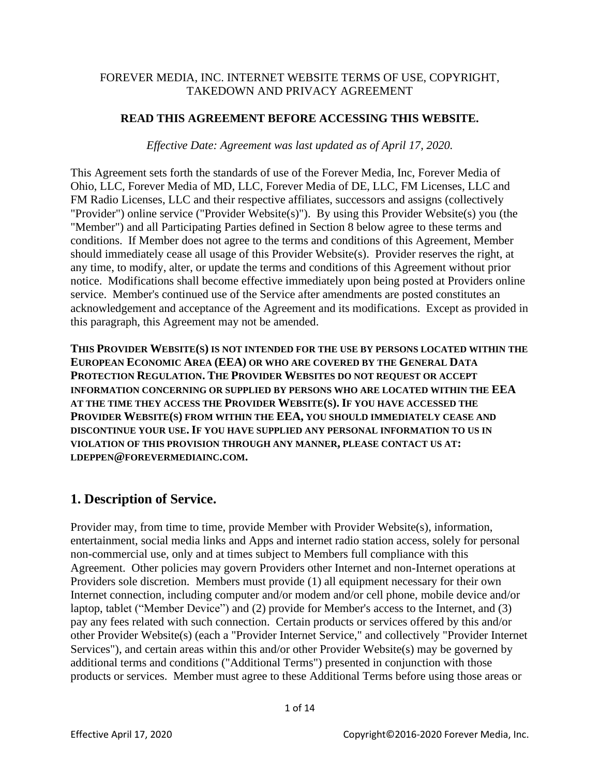#### FOREVER MEDIA, INC. INTERNET WEBSITE TERMS OF USE, COPYRIGHT, TAKEDOWN AND PRIVACY AGREEMENT

#### **READ THIS AGREEMENT BEFORE ACCESSING THIS WEBSITE.**

*Effective Date: Agreement was last updated as of April 17, 2020.*

This Agreement sets forth the standards of use of the Forever Media, Inc, Forever Media of Ohio, LLC, Forever Media of MD, LLC, Forever Media of DE, LLC, FM Licenses, LLC and FM Radio Licenses, LLC and their respective affiliates, successors and assigns (collectively "Provider") online service ("Provider Website(s)"). By using this Provider Website(s) you (the "Member") and all Participating Parties defined in Section 8 below agree to these terms and conditions. If Member does not agree to the terms and conditions of this Agreement, Member should immediately cease all usage of this Provider Website(s). Provider reserves the right, at any time, to modify, alter, or update the terms and conditions of this Agreement without prior notice. Modifications shall become effective immediately upon being posted at Providers online service. Member's continued use of the Service after amendments are posted constitutes an acknowledgement and acceptance of the Agreement and its modifications. Except as provided in this paragraph, this Agreement may not be amended.

**THIS PROVIDER WEBSITE(S) IS NOT INTENDED FOR THE USE BY PERSONS LOCATED WITHIN THE EUROPEAN ECONOMIC AREA (EEA) OR WHO ARE COVERED BY THE GENERAL DATA PROTECTION REGULATION. THE PROVIDER WEBSITES DO NOT REQUEST OR ACCEPT INFORMATION CONCERNING OR SUPPLIED BY PERSONS WHO ARE LOCATED WITHIN THE EEA AT THE TIME THEY ACCESS THE PROVIDER WEBSITE(S). IF YOU HAVE ACCESSED THE PROVIDER WEBSITE(S) FROM WITHIN THE EEA, YOU SHOULD IMMEDIATELY CEASE AND DISCONTINUE YOUR USE. IF YOU HAVE SUPPLIED ANY PERSONAL INFORMATION TO US IN VIOLATION OF THIS PROVISION THROUGH ANY MANNER, PLEASE CONTACT US AT: LDEPPEN@FOREVERMEDIAINC.COM.**

### **1. Description of Service.**

Provider may, from time to time, provide Member with Provider Website(s), information, entertainment, social media links and Apps and internet radio station access, solely for personal non-commercial use, only and at times subject to Members full compliance with this Agreement. Other policies may govern Providers other Internet and non-Internet operations at Providers sole discretion. Members must provide (1) all equipment necessary for their own Internet connection, including computer and/or modem and/or cell phone, mobile device and/or laptop, tablet ("Member Device") and (2) provide for Member's access to the Internet, and (3) pay any fees related with such connection. Certain products or services offered by this and/or other Provider Website(s) (each a "Provider Internet Service," and collectively "Provider Internet Services"), and certain areas within this and/or other Provider Website(s) may be governed by additional terms and conditions ("Additional Terms") presented in conjunction with those products or services. Member must agree to these Additional Terms before using those areas or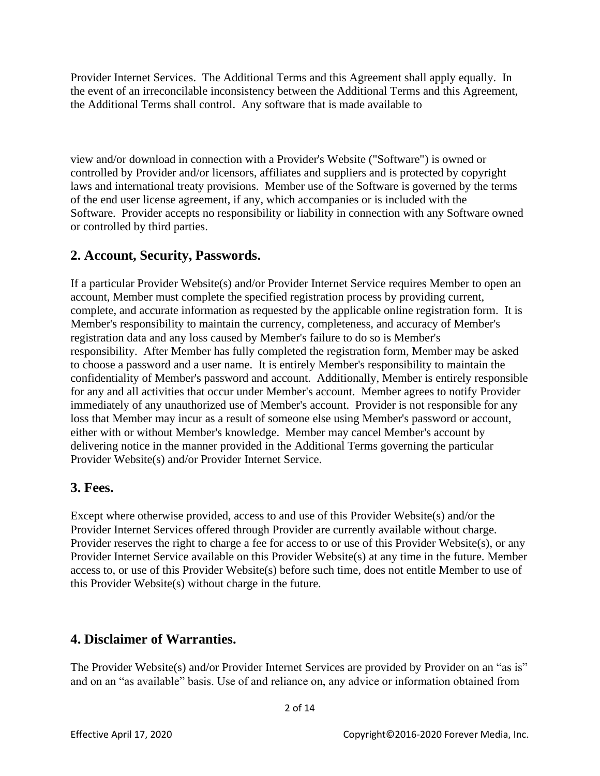Provider Internet Services. The Additional Terms and this Agreement shall apply equally. In the event of an irreconcilable inconsistency between the Additional Terms and this Agreement, the Additional Terms shall control. Any software that is made available to

view and/or download in connection with a Provider's Website ("Software") is owned or controlled by Provider and/or licensors, affiliates and suppliers and is protected by copyright laws and international treaty provisions. Member use of the Software is governed by the terms of the end user license agreement, if any, which accompanies or is included with the Software. Provider accepts no responsibility or liability in connection with any Software owned or controlled by third parties.

#### **2. Account, Security, Passwords.**

If a particular Provider Website(s) and/or Provider Internet Service requires Member to open an account, Member must complete the specified registration process by providing current, complete, and accurate information as requested by the applicable online registration form. It is Member's responsibility to maintain the currency, completeness, and accuracy of Member's registration data and any loss caused by Member's failure to do so is Member's responsibility. After Member has fully completed the registration form, Member may be asked to choose a password and a user name. It is entirely Member's responsibility to maintain the confidentiality of Member's password and account. Additionally, Member is entirely responsible for any and all activities that occur under Member's account. Member agrees to notify Provider immediately of any unauthorized use of Member's account. Provider is not responsible for any loss that Member may incur as a result of someone else using Member's password or account, either with or without Member's knowledge. Member may cancel Member's account by delivering notice in the manner provided in the Additional Terms governing the particular Provider Website(s) and/or Provider Internet Service.

#### **3. Fees.**

Except where otherwise provided, access to and use of this Provider Website(s) and/or the Provider Internet Services offered through Provider are currently available without charge. Provider reserves the right to charge a fee for access to or use of this Provider Website(s), or any Provider Internet Service available on this Provider Website(s) at any time in the future. Member access to, or use of this Provider Website(s) before such time, does not entitle Member to use of this Provider Website(s) without charge in the future.

### **4. Disclaimer of Warranties.**

The Provider Website(s) and/or Provider Internet Services are provided by Provider on an "as is" and on an "as available" basis. Use of and reliance on, any advice or information obtained from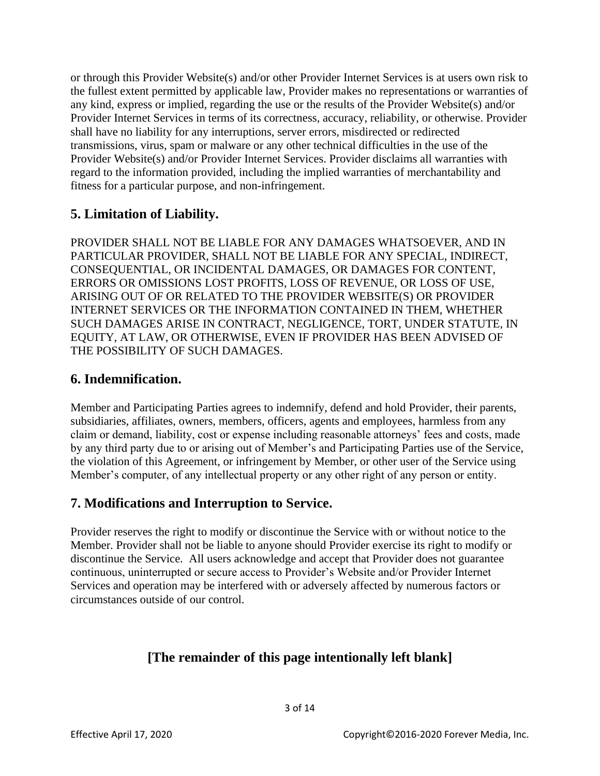or through this Provider Website(s) and/or other Provider Internet Services is at users own risk to the fullest extent permitted by applicable law, Provider makes no representations or warranties of any kind, express or implied, regarding the use or the results of the Provider Website(s) and/or Provider Internet Services in terms of its correctness, accuracy, reliability, or otherwise. Provider shall have no liability for any interruptions, server errors, misdirected or redirected transmissions, virus, spam or malware or any other technical difficulties in the use of the Provider Website(s) and/or Provider Internet Services. Provider disclaims all warranties with regard to the information provided, including the implied warranties of merchantability and fitness for a particular purpose, and non-infringement.

### **5. Limitation of Liability.**

PROVIDER SHALL NOT BE LIABLE FOR ANY DAMAGES WHATSOEVER, AND IN PARTICULAR PROVIDER, SHALL NOT BE LIABLE FOR ANY SPECIAL, INDIRECT, CONSEQUENTIAL, OR INCIDENTAL DAMAGES, OR DAMAGES FOR CONTENT, ERRORS OR OMISSIONS LOST PROFITS, LOSS OF REVENUE, OR LOSS OF USE, ARISING OUT OF OR RELATED TO THE PROVIDER WEBSITE(S) OR PROVIDER INTERNET SERVICES OR THE INFORMATION CONTAINED IN THEM, WHETHER SUCH DAMAGES ARISE IN CONTRACT, NEGLIGENCE, TORT, UNDER STATUTE, IN EQUITY, AT LAW, OR OTHERWISE, EVEN IF PROVIDER HAS BEEN ADVISED OF THE POSSIBILITY OF SUCH DAMAGES.

### **6. Indemnification.**

Member and Participating Parties agrees to indemnify, defend and hold Provider, their parents, subsidiaries, affiliates, owners, members, officers, agents and employees, harmless from any claim or demand, liability, cost or expense including reasonable attorneys' fees and costs, made by any third party due to or arising out of Member's and Participating Parties use of the Service, the violation of this Agreement, or infringement by Member, or other user of the Service using Member's computer, of any intellectual property or any other right of any person or entity.

### **7. Modifications and Interruption to Service.**

Provider reserves the right to modify or discontinue the Service with or without notice to the Member. Provider shall not be liable to anyone should Provider exercise its right to modify or discontinue the Service. All users acknowledge and accept that Provider does not guarantee continuous, uninterrupted or secure access to Provider's Website and/or Provider Internet Services and operation may be interfered with or adversely affected by numerous factors or circumstances outside of our control.

# **[The remainder of this page intentionally left blank]**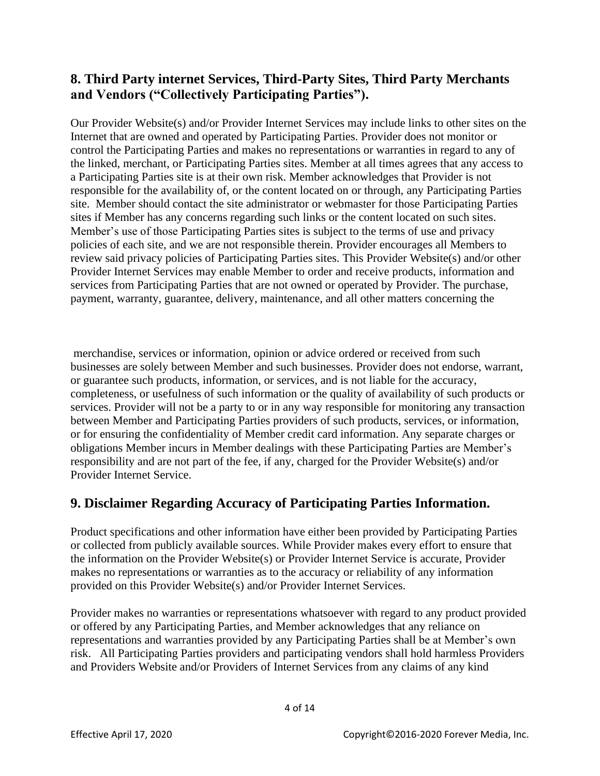# **8. Third Party internet Services, Third-Party Sites, Third Party Merchants and Vendors ("Collectively Participating Parties").**

Our Provider Website(s) and/or Provider Internet Services may include links to other sites on the Internet that are owned and operated by Participating Parties. Provider does not monitor or control the Participating Parties and makes no representations or warranties in regard to any of the linked, merchant, or Participating Parties sites. Member at all times agrees that any access to a Participating Parties site is at their own risk. Member acknowledges that Provider is not responsible for the availability of, or the content located on or through, any Participating Parties site. Member should contact the site administrator or webmaster for those Participating Parties sites if Member has any concerns regarding such links or the content located on such sites. Member's use of those Participating Parties sites is subject to the terms of use and privacy policies of each site, and we are not responsible therein. Provider encourages all Members to review said privacy policies of Participating Parties sites. This Provider Website(s) and/or other Provider Internet Services may enable Member to order and receive products, information and services from Participating Parties that are not owned or operated by Provider. The purchase, payment, warranty, guarantee, delivery, maintenance, and all other matters concerning the

merchandise, services or information, opinion or advice ordered or received from such businesses are solely between Member and such businesses. Provider does not endorse, warrant, or guarantee such products, information, or services, and is not liable for the accuracy, completeness, or usefulness of such information or the quality of availability of such products or services. Provider will not be a party to or in any way responsible for monitoring any transaction between Member and Participating Parties providers of such products, services, or information, or for ensuring the confidentiality of Member credit card information. Any separate charges or obligations Member incurs in Member dealings with these Participating Parties are Member's responsibility and are not part of the fee, if any, charged for the Provider Website(s) and/or Provider Internet Service.

### **9. Disclaimer Regarding Accuracy of Participating Parties Information.**

Product specifications and other information have either been provided by Participating Parties or collected from publicly available sources. While Provider makes every effort to ensure that the information on the Provider Website(s) or Provider Internet Service is accurate, Provider makes no representations or warranties as to the accuracy or reliability of any information provided on this Provider Website(s) and/or Provider Internet Services.

Provider makes no warranties or representations whatsoever with regard to any product provided or offered by any Participating Parties, and Member acknowledges that any reliance on representations and warranties provided by any Participating Parties shall be at Member's own risk. All Participating Parties providers and participating vendors shall hold harmless Providers and Providers Website and/or Providers of Internet Services from any claims of any kind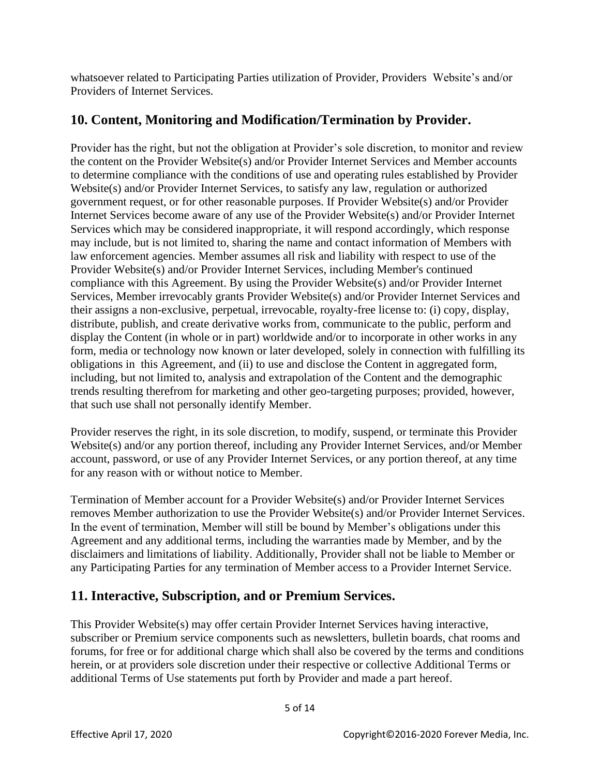whatsoever related to Participating Parties utilization of Provider, Providers Website's and/or Providers of Internet Services.

## **10. Content, Monitoring and Modification/Termination by Provider.**

Provider has the right, but not the obligation at Provider's sole discretion, to monitor and review the content on the Provider Website(s) and/or Provider Internet Services and Member accounts to determine compliance with the conditions of use and operating rules established by Provider Website(s) and/or Provider Internet Services, to satisfy any law, regulation or authorized government request, or for other reasonable purposes. If Provider Website(s) and/or Provider Internet Services become aware of any use of the Provider Website(s) and/or Provider Internet Services which may be considered inappropriate, it will respond accordingly, which response may include, but is not limited to, sharing the name and contact information of Members with law enforcement agencies. Member assumes all risk and liability with respect to use of the Provider Website(s) and/or Provider Internet Services, including Member's continued compliance with this Agreement. By using the Provider Website(s) and/or Provider Internet Services, Member irrevocably grants Provider Website(s) and/or Provider Internet Services and their assigns a non-exclusive, perpetual, irrevocable, royalty-free license to: (i) copy, display, distribute, publish, and create derivative works from, communicate to the public, perform and display the Content (in whole or in part) worldwide and/or to incorporate in other works in any form, media or technology now known or later developed, solely in connection with fulfilling its obligations in this Agreement, and (ii) to use and disclose the Content in aggregated form, including, but not limited to, analysis and extrapolation of the Content and the demographic trends resulting therefrom for marketing and other geo-targeting purposes; provided, however, that such use shall not personally identify Member.

Provider reserves the right, in its sole discretion, to modify, suspend, or terminate this Provider Website(s) and/or any portion thereof, including any Provider Internet Services, and/or Member account, password, or use of any Provider Internet Services, or any portion thereof, at any time for any reason with or without notice to Member.

Termination of Member account for a Provider Website(s) and/or Provider Internet Services removes Member authorization to use the Provider Website(s) and/or Provider Internet Services. In the event of termination, Member will still be bound by Member's obligations under this Agreement and any additional terms, including the warranties made by Member, and by the disclaimers and limitations of liability. Additionally, Provider shall not be liable to Member or any Participating Parties for any termination of Member access to a Provider Internet Service.

### **11. Interactive, Subscription, and or Premium Services.**

This Provider Website(s) may offer certain Provider Internet Services having interactive, subscriber or Premium service components such as newsletters, bulletin boards, chat rooms and forums, for free or for additional charge which shall also be covered by the terms and conditions herein, or at providers sole discretion under their respective or collective Additional Terms or additional Terms of Use statements put forth by Provider and made a part hereof.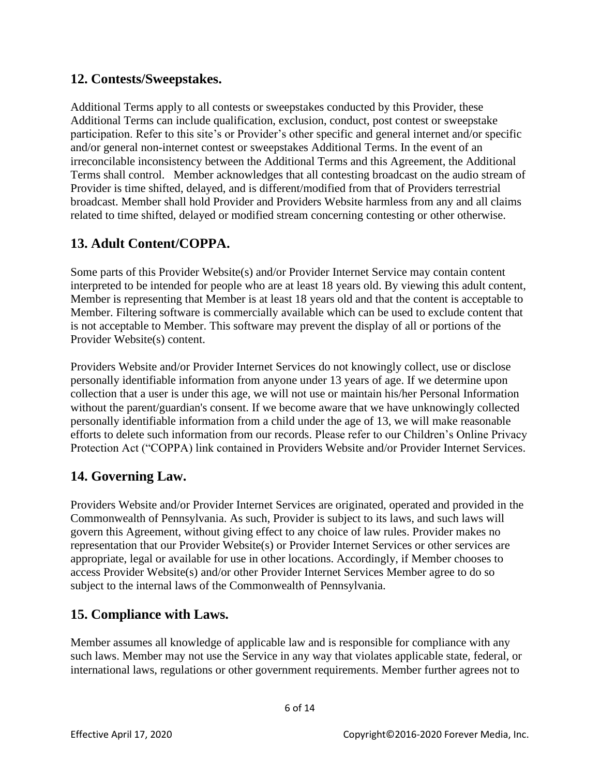### **12. Contests/Sweepstakes.**

Additional Terms apply to all contests or sweepstakes conducted by this Provider, these Additional Terms can include qualification, exclusion, conduct, post contest or sweepstake participation. Refer to this site's or Provider's other specific and general internet and/or specific and/or general non-internet contest or sweepstakes Additional Terms. In the event of an irreconcilable inconsistency between the Additional Terms and this Agreement, the Additional Terms shall control. Member acknowledges that all contesting broadcast on the audio stream of Provider is time shifted, delayed, and is different/modified from that of Providers terrestrial broadcast. Member shall hold Provider and Providers Website harmless from any and all claims related to time shifted, delayed or modified stream concerning contesting or other otherwise.

# **13. Adult Content/COPPA.**

Some parts of this Provider Website(s) and/or Provider Internet Service may contain content interpreted to be intended for people who are at least 18 years old. By viewing this adult content, Member is representing that Member is at least 18 years old and that the content is acceptable to Member. Filtering software is commercially available which can be used to exclude content that is not acceptable to Member. This software may prevent the display of all or portions of the Provider Website(s) content.

Providers Website and/or Provider Internet Services do not knowingly collect, use or disclose personally identifiable information from anyone under 13 years of age. If we determine upon collection that a user is under this age, we will not use or maintain his/her Personal Information without the parent/guardian's consent. If we become aware that we have unknowingly collected personally identifiable information from a child under the age of 13, we will make reasonable efforts to delete such information from our records. Please refer to our Children's Online Privacy Protection Act ("COPPA) link contained in Providers Website and/or Provider Internet Services.

### **14. Governing Law.**

Providers Website and/or Provider Internet Services are originated, operated and provided in the Commonwealth of Pennsylvania. As such, Provider is subject to its laws, and such laws will govern this Agreement, without giving effect to any choice of law rules. Provider makes no representation that our Provider Website(s) or Provider Internet Services or other services are appropriate, legal or available for use in other locations. Accordingly, if Member chooses to access Provider Website(s) and/or other Provider Internet Services Member agree to do so subject to the internal laws of the Commonwealth of Pennsylvania.

### **15. Compliance with Laws.**

Member assumes all knowledge of applicable law and is responsible for compliance with any such laws. Member may not use the Service in any way that violates applicable state, federal, or international laws, regulations or other government requirements. Member further agrees not to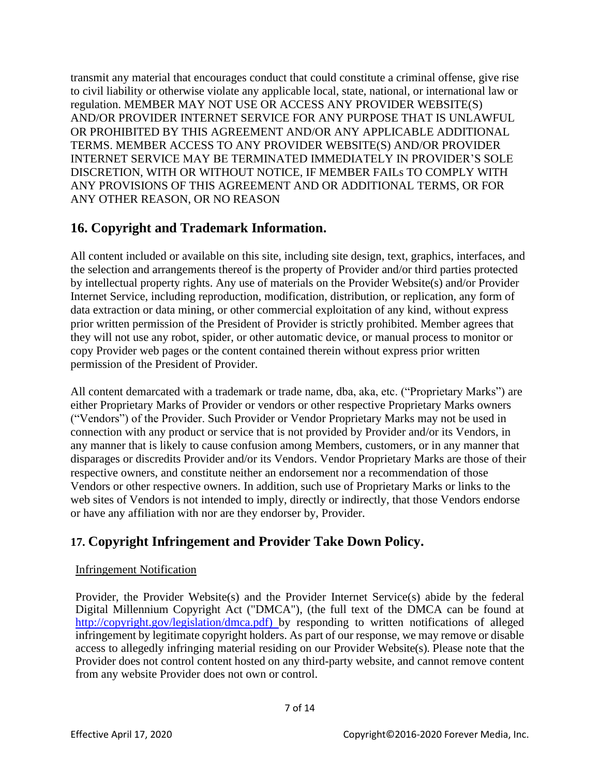transmit any material that encourages conduct that could constitute a criminal offense, give rise to civil liability or otherwise violate any applicable local, state, national, or international law or regulation. MEMBER MAY NOT USE OR ACCESS ANY PROVIDER WEBSITE(S) AND/OR PROVIDER INTERNET SERVICE FOR ANY PURPOSE THAT IS UNLAWFUL OR PROHIBITED BY THIS AGREEMENT AND/OR ANY APPLICABLE ADDITIONAL TERMS. MEMBER ACCESS TO ANY PROVIDER WEBSITE(S) AND/OR PROVIDER INTERNET SERVICE MAY BE TERMINATED IMMEDIATELY IN PROVIDER'S SOLE DISCRETION, WITH OR WITHOUT NOTICE, IF MEMBER FAILs TO COMPLY WITH ANY PROVISIONS OF THIS AGREEMENT AND OR ADDITIONAL TERMS, OR FOR ANY OTHER REASON, OR NO REASON

### **16. Copyright and Trademark Information.**

All content included or available on this site, including site design, text, graphics, interfaces, and the selection and arrangements thereof is the property of Provider and/or third parties protected by intellectual property rights. Any use of materials on the Provider Website(s) and/or Provider Internet Service, including reproduction, modification, distribution, or replication, any form of data extraction or data mining, or other commercial exploitation of any kind, without express prior written permission of the President of Provider is strictly prohibited. Member agrees that they will not use any robot, spider, or other automatic device, or manual process to monitor or copy Provider web pages or the content contained therein without express prior written permission of the President of Provider.

All content demarcated with a trademark or trade name, dba, aka, etc. ("Proprietary Marks") are either Proprietary Marks of Provider or vendors or other respective Proprietary Marks owners ("Vendors") of the Provider. Such Provider or Vendor Proprietary Marks may not be used in connection with any product or service that is not provided by Provider and/or its Vendors, in any manner that is likely to cause confusion among Members, customers, or in any manner that disparages or discredits Provider and/or its Vendors. Vendor Proprietary Marks are those of their respective owners, and constitute neither an endorsement nor a recommendation of those Vendors or other respective owners. In addition, such use of Proprietary Marks or links to the web sites of Vendors is not intended to imply, directly or indirectly, that those Vendors endorse or have any affiliation with nor are they endorser by, Provider.

# **17. Copyright Infringement and Provider Take Down Policy.**

#### Infringement Notification

Provider, the Provider Website(s) and the Provider Internet Service(s) abide by the federal Digital Millennium Copyright Act ("DMCA"), (the full text of the DMCA can be found at [http://copyright.gov/legislation/dmca.pdf\)](http://copyright.gov/legislation/dmca.pdf) by responding to written notifications of alleged infringement by legitimate copyright holders. As part of our response, we may remove or disable access to allegedly infringing material residing on our Provider Website(s). Please note that the Provider does not control content hosted on any third-party website, and cannot remove content from any website Provider does not own or control.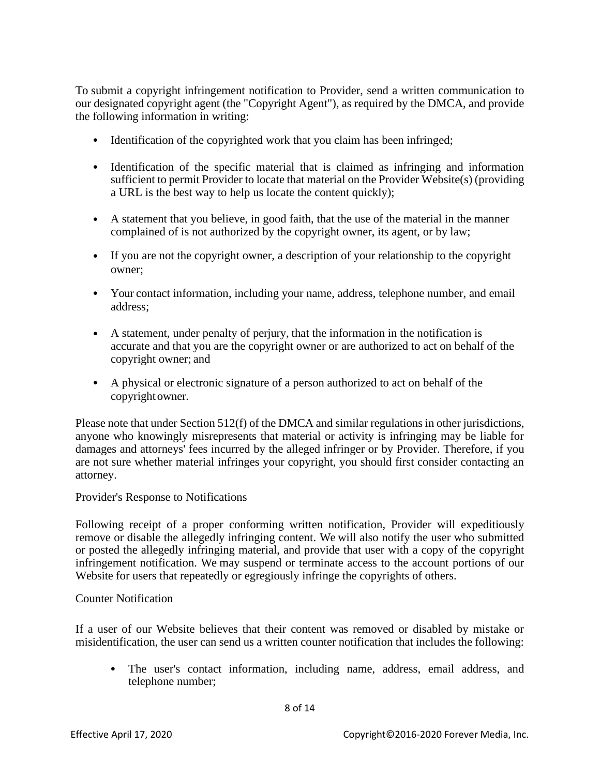To submit a copyright infringement notification to Provider, send a written communication to our designated copyright agent (the "Copyright Agent"), as required by the DMCA, and provide the following information in writing:

- Identification of the copyrighted work that you claim has been infringed;
- Identification of the specific material that is claimed as infringing and information sufficient to permit Provider to locate that material on the Provider Website(s) (providing a URL is the best way to help us locate the content quickly);
- A statement that you believe, in good faith, that the use of the material in the manner complained of is not authorized by the copyright owner, its agent, or by law;
- If you are not the copyright owner, a description of your relationship to the copyright owner;
- Your contact information, including your name, address, telephone number, and email address;
- A statement, under penalty of perjury, that the information in the notification is accurate and that you are the copyright owner or are authorized to act on behalf of the copyright owner; and
- A physical or electronic signature of a person authorized to act on behalf of the copyrightowner.

Please note that under Section 512(f) of the DMCA and similar regulations in other jurisdictions, anyone who knowingly misrepresents that material or activity is infringing may be liable for damages and attorneys' fees incurred by the alleged infringer or by Provider. Therefore, if you are not sure whether material infringes your copyright, you should first consider contacting an attorney.

Provider's Response to Notifications

Following receipt of a proper conforming written notification, Provider will expeditiously remove or disable the allegedly infringing content. We will also notify the user who submitted or posted the allegedly infringing material, and provide that user with a copy of the copyright infringement notification. We may suspend or terminate access to the account portions of our Website for users that repeatedly or egregiously infringe the copyrights of others.

#### Counter Notification

If a user of our Website believes that their content was removed or disabled by mistake or misidentification, the user can send us a written counter notification that includes the following:

• The user's contact information, including name, address, email address, and telephone number;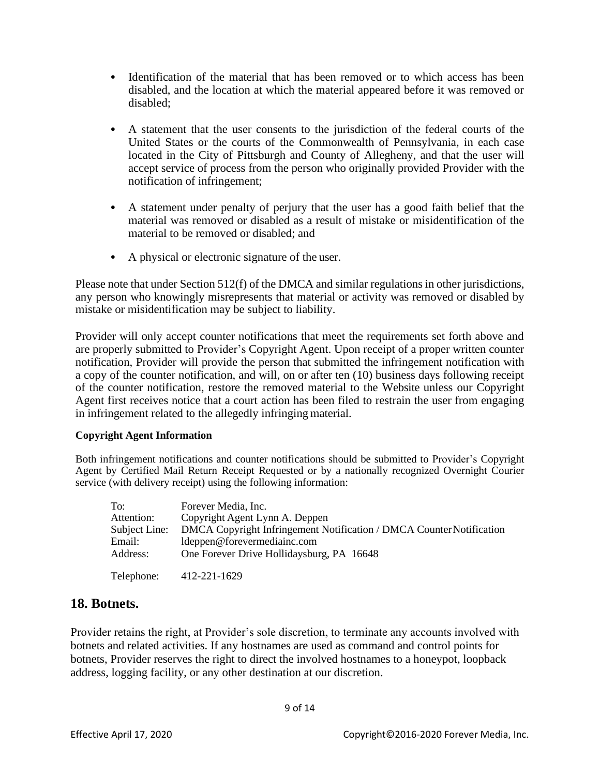- Identification of the material that has been removed or to which access has been disabled, and the location at which the material appeared before it was removed or disabled;
- A statement that the user consents to the jurisdiction of the federal courts of the United States or the courts of the Commonwealth of Pennsylvania, in each case located in the City of Pittsburgh and County of Allegheny, and that the user will accept service of process from the person who originally provided Provider with the notification of infringement;
- A statement under penalty of perjury that the user has a good faith belief that the material was removed or disabled as a result of mistake or misidentification of the material to be removed or disabled; and
- A physical or electronic signature of the user.

Please note that under Section 512(f) of the DMCA and similar regulations in other jurisdictions, any person who knowingly misrepresents that material or activity was removed or disabled by mistake or misidentification may be subject to liability.

Provider will only accept counter notifications that meet the requirements set forth above and are properly submitted to Provider's Copyright Agent. Upon receipt of a proper written counter notification, Provider will provide the person that submitted the infringement notification with a copy of the counter notification, and will, on or after ten (10) business days following receipt of the counter notification, restore the removed material to the Website unless our Copyright Agent first receives notice that a court action has been filed to restrain the user from engaging in infringement related to the allegedly infringing material.

#### **Copyright Agent Information**

Both infringement notifications and counter notifications should be submitted to Provider's Copyright Agent by Certified Mail Return Receipt Requested or by a nationally recognized Overnight Courier service (with delivery receipt) using the following information:

| To:           | Forever Media, Inc.                                                  |
|---------------|----------------------------------------------------------------------|
| Attention:    | Copyright Agent Lynn A. Deppen                                       |
| Subject Line: | DMCA Copyright Infringement Notification / DMCA Counter Notification |
| Email:        | ldeppen@forevermediainc.com                                          |
| Address:      | One Forever Drive Hollidaysburg, PA 16648                            |
| Telephone:    | 412-221-1629                                                         |

#### **18. Botnets.**

Provider retains the right, at Provider's sole discretion, to terminate any accounts involved with botnets and related activities. If any hostnames are used as command and control points for botnets, Provider reserves the right to direct the involved hostnames to a honeypot, loopback address, logging facility, or any other destination at our discretion.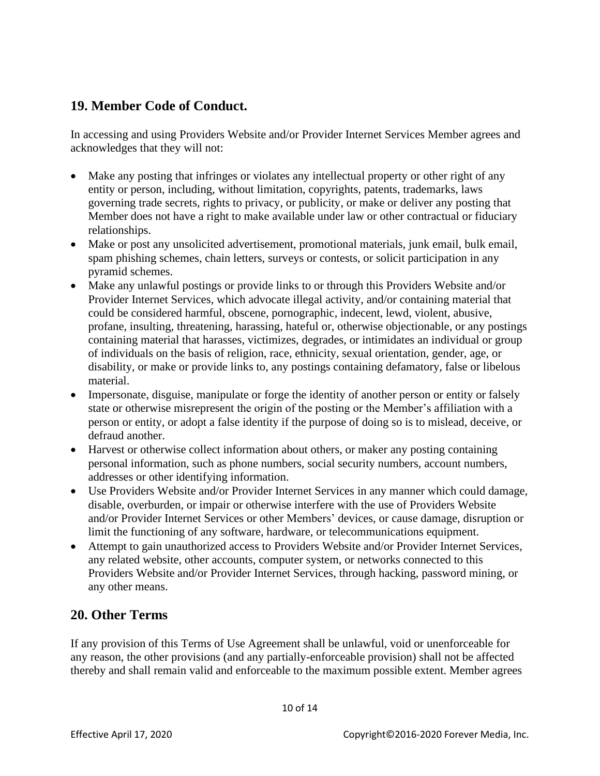## **19. Member Code of Conduct.**

In accessing and using Providers Website and/or Provider Internet Services Member agrees and acknowledges that they will not:

- Make any posting that infringes or violates any intellectual property or other right of any entity or person, including, without limitation, copyrights, patents, trademarks, laws governing trade secrets, rights to privacy, or publicity, or make or deliver any posting that Member does not have a right to make available under law or other contractual or fiduciary relationships.
- Make or post any unsolicited advertisement, promotional materials, junk email, bulk email, spam phishing schemes, chain letters, surveys or contests, or solicit participation in any pyramid schemes.
- Make any unlawful postings or provide links to or through this Providers Website and/or Provider Internet Services, which advocate illegal activity, and/or containing material that could be considered harmful, obscene, pornographic, indecent, lewd, violent, abusive, profane, insulting, threatening, harassing, hateful or, otherwise objectionable, or any postings containing material that harasses, victimizes, degrades, or intimidates an individual or group of individuals on the basis of religion, race, ethnicity, sexual orientation, gender, age, or disability, or make or provide links to, any postings containing defamatory, false or libelous material.
- Impersonate, disguise, manipulate or forge the identity of another person or entity or falsely state or otherwise misrepresent the origin of the posting or the Member's affiliation with a person or entity, or adopt a false identity if the purpose of doing so is to mislead, deceive, or defraud another.
- Harvest or otherwise collect information about others, or maker any posting containing personal information, such as phone numbers, social security numbers, account numbers, addresses or other identifying information.
- Use Providers Website and/or Provider Internet Services in any manner which could damage, disable, overburden, or impair or otherwise interfere with the use of Providers Website and/or Provider Internet Services or other Members' devices, or cause damage, disruption or limit the functioning of any software, hardware, or telecommunications equipment.
- Attempt to gain unauthorized access to Providers Website and/or Provider Internet Services, any related website, other accounts, computer system, or networks connected to this Providers Website and/or Provider Internet Services, through hacking, password mining, or any other means.

### **20. Other Terms**

If any provision of this Terms of Use Agreement shall be unlawful, void or unenforceable for any reason, the other provisions (and any partially-enforceable provision) shall not be affected thereby and shall remain valid and enforceable to the maximum possible extent. Member agrees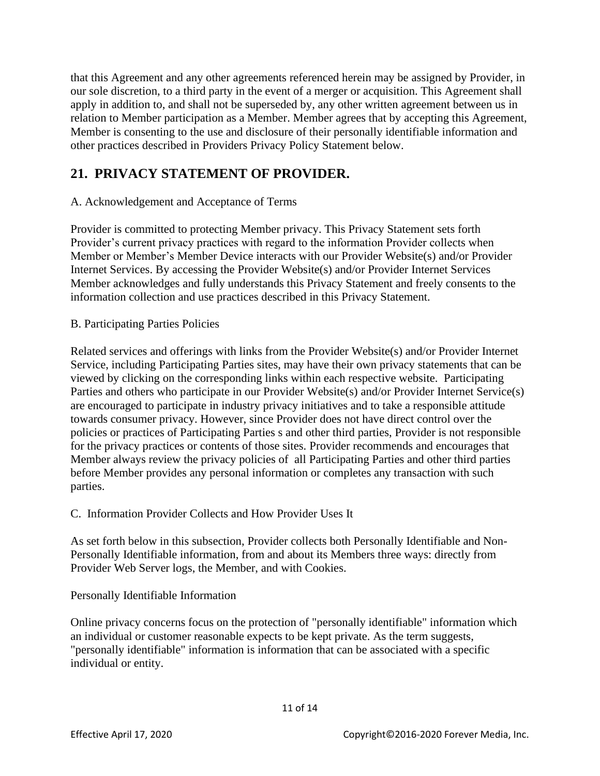that this Agreement and any other agreements referenced herein may be assigned by Provider, in our sole discretion, to a third party in the event of a merger or acquisition. This Agreement shall apply in addition to, and shall not be superseded by, any other written agreement between us in relation to Member participation as a Member. Member agrees that by accepting this Agreement, Member is consenting to the use and disclosure of their personally identifiable information and other practices described in Providers Privacy Policy Statement below.

# **21. PRIVACY STATEMENT OF PROVIDER.**

#### A. Acknowledgement and Acceptance of Terms

Provider is committed to protecting Member privacy. This Privacy Statement sets forth Provider's current privacy practices with regard to the information Provider collects when Member or Member's Member Device interacts with our Provider Website(s) and/or Provider Internet Services. By accessing the Provider Website(s) and/or Provider Internet Services Member acknowledges and fully understands this Privacy Statement and freely consents to the information collection and use practices described in this Privacy Statement.

B. Participating Parties Policies

Related services and offerings with links from the Provider Website(s) and/or Provider Internet Service, including Participating Parties sites, may have their own privacy statements that can be viewed by clicking on the corresponding links within each respective website. Participating Parties and others who participate in our Provider Website(s) and/or Provider Internet Service(s) are encouraged to participate in industry privacy initiatives and to take a responsible attitude towards consumer privacy. However, since Provider does not have direct control over the policies or practices of Participating Parties s and other third parties, Provider is not responsible for the privacy practices or contents of those sites. Provider recommends and encourages that Member always review the privacy policies of all Participating Parties and other third parties before Member provides any personal information or completes any transaction with such parties.

C. Information Provider Collects and How Provider Uses It

As set forth below in this subsection, Provider collects both Personally Identifiable and Non-Personally Identifiable information, from and about its Members three ways: directly from Provider Web Server logs, the Member, and with Cookies.

Personally Identifiable Information

Online privacy concerns focus on the protection of "personally identifiable" information which an individual or customer reasonable expects to be kept private. As the term suggests, "personally identifiable" information is information that can be associated with a specific individual or entity.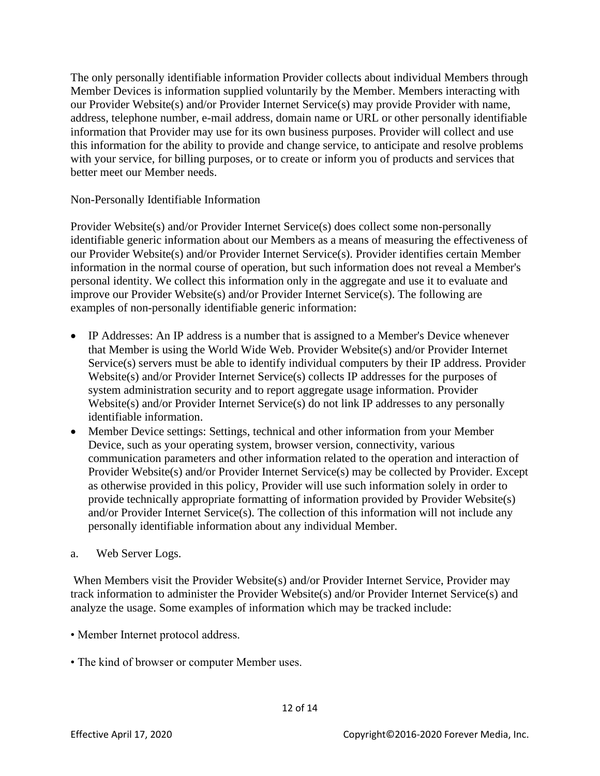The only personally identifiable information Provider collects about individual Members through Member Devices is information supplied voluntarily by the Member. Members interacting with our Provider Website(s) and/or Provider Internet Service(s) may provide Provider with name, address, telephone number, e-mail address, domain name or URL or other personally identifiable information that Provider may use for its own business purposes. Provider will collect and use this information for the ability to provide and change service, to anticipate and resolve problems with your service, for billing purposes, or to create or inform you of products and services that better meet our Member needs.

Non-Personally Identifiable Information

Provider Website(s) and/or Provider Internet Service(s) does collect some non-personally identifiable generic information about our Members as a means of measuring the effectiveness of our Provider Website(s) and/or Provider Internet Service(s). Provider identifies certain Member information in the normal course of operation, but such information does not reveal a Member's personal identity. We collect this information only in the aggregate and use it to evaluate and improve our Provider Website(s) and/or Provider Internet Service(s). The following are examples of non-personally identifiable generic information:

- IP Addresses: An IP address is a number that is assigned to a Member's Device whenever that Member is using the World Wide Web. Provider Website(s) and/or Provider Internet Service(s) servers must be able to identify individual computers by their IP address. Provider Website(s) and/or Provider Internet Service(s) collects IP addresses for the purposes of system administration security and to report aggregate usage information. Provider Website(s) and/or Provider Internet Service(s) do not link IP addresses to any personally identifiable information.
- Member Device settings: Settings, technical and other information from your Member Device, such as your operating system, browser version, connectivity, various communication parameters and other information related to the operation and interaction of Provider Website(s) and/or Provider Internet Service(s) may be collected by Provider. Except as otherwise provided in this policy, Provider will use such information solely in order to provide technically appropriate formatting of information provided by Provider Website(s) and/or Provider Internet Service(s). The collection of this information will not include any personally identifiable information about any individual Member.
- a. Web Server Logs.

When Members visit the Provider Website(s) and/or Provider Internet Service, Provider may track information to administer the Provider Website(s) and/or Provider Internet Service(s) and analyze the usage. Some examples of information which may be tracked include:

- Member Internet protocol address.
- The kind of browser or computer Member uses.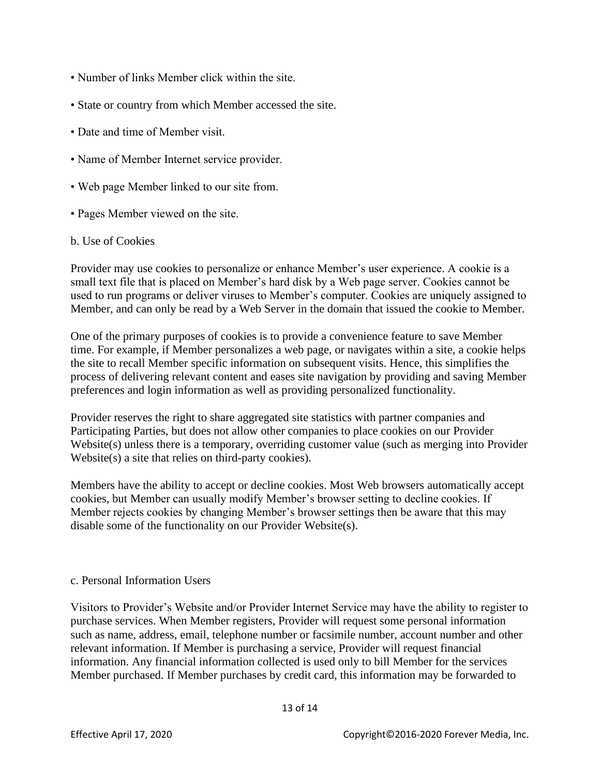- Number of links Member click within the site.
- State or country from which Member accessed the site.
- Date and time of Member visit.
- Name of Member Internet service provider.
- Web page Member linked to our site from.
- Pages Member viewed on the site.

#### b. Use of Cookies

Provider may use cookies to personalize or enhance Member's user experience. A cookie is a small text file that is placed on Member's hard disk by a Web page server. Cookies cannot be used to run programs or deliver viruses to Member's computer. Cookies are uniquely assigned to Member, and can only be read by a Web Server in the domain that issued the cookie to Member.

One of the primary purposes of cookies is to provide a convenience feature to save Member time. For example, if Member personalizes a web page, or navigates within a site, a cookie helps the site to recall Member specific information on subsequent visits. Hence, this simplifies the process of delivering relevant content and eases site navigation by providing and saving Member preferences and login information as well as providing personalized functionality.

Provider reserves the right to share aggregated site statistics with partner companies and Participating Parties, but does not allow other companies to place cookies on our Provider Website(s) unless there is a temporary, overriding customer value (such as merging into Provider Website(s) a site that relies on third-party cookies).

Members have the ability to accept or decline cookies. Most Web browsers automatically accept cookies, but Member can usually modify Member's browser setting to decline cookies. If Member rejects cookies by changing Member's browser settings then be aware that this may disable some of the functionality on our Provider Website(s).

#### c. Personal Information Users

Visitors to Provider's Website and/or Provider Internet Service may have the ability to register to purchase services. When Member registers, Provider will request some personal information such as name, address, email, telephone number or facsimile number, account number and other relevant information. If Member is purchasing a service, Provider will request financial information. Any financial information collected is used only to bill Member for the services Member purchased. If Member purchases by credit card, this information may be forwarded to